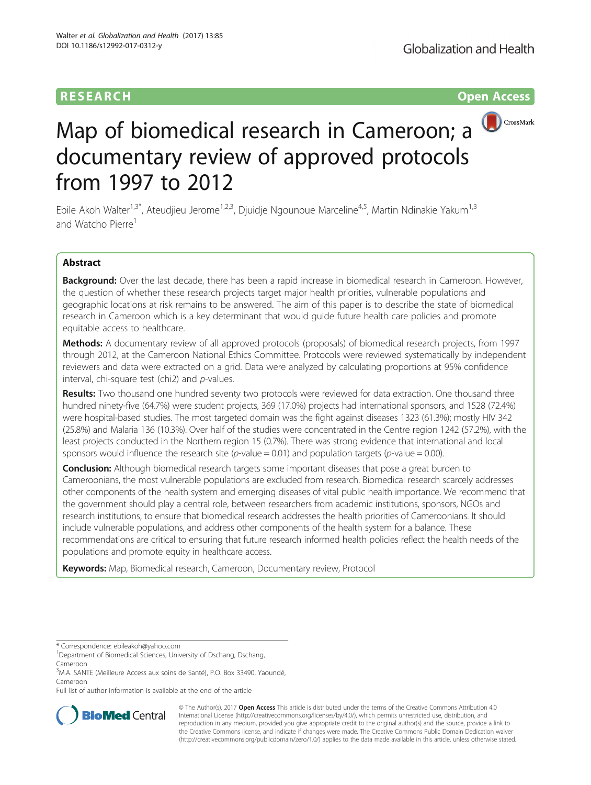# **RESEARCH RESEARCH** *CONSIDERING* **<b>CONSIDERING**



# Map of biomedical research in Cameroon; a documentary review of approved protocols from 1997 to 2012

Ebile Akoh Walter<sup>1,3\*</sup>, Ateudjieu Jerome<sup>1,2,3</sup>, Djuidje Ngounoue Marceline<sup>4,5</sup>, Martin Ndinakie Yakum<sup>1,3</sup> and Watcho Pierre<sup>1</sup>

# Abstract

Background: Over the last decade, there has been a rapid increase in biomedical research in Cameroon. However, the question of whether these research projects target major health priorities, vulnerable populations and geographic locations at risk remains to be answered. The aim of this paper is to describe the state of biomedical research in Cameroon which is a key determinant that would guide future health care policies and promote equitable access to healthcare.

Methods: A documentary review of all approved protocols (proposals) of biomedical research projects, from 1997 through 2012, at the Cameroon National Ethics Committee. Protocols were reviewed systematically by independent reviewers and data were extracted on a grid. Data were analyzed by calculating proportions at 95% confidence interval, chi-square test (chi2) and  $p$ -values.

Results: Two thousand one hundred seventy two protocols were reviewed for data extraction. One thousand three hundred ninety-five (64.7%) were student projects, 369 (17.0%) projects had international sponsors, and 1528 (72.4%) were hospital-based studies. The most targeted domain was the fight against diseases 1323 (61.3%); mostly HIV 342 (25.8%) and Malaria 136 (10.3%). Over half of the studies were concentrated in the Centre region 1242 (57.2%), with the least projects conducted in the Northern region 15 (0.7%). There was strong evidence that international and local sponsors would influence the research site (p-value =  $0.01$ ) and population targets (p-value =  $0.00$ ).

**Conclusion:** Although biomedical research targets some important diseases that pose a great burden to Cameroonians, the most vulnerable populations are excluded from research. Biomedical research scarcely addresses other components of the health system and emerging diseases of vital public health importance. We recommend that the government should play a central role, between researchers from academic institutions, sponsors, NGOs and research institutions, to ensure that biomedical research addresses the health priorities of Cameroonians. It should include vulnerable populations, and address other components of the health system for a balance. These recommendations are critical to ensuring that future research informed health policies reflect the health needs of the populations and promote equity in healthcare access.

Keywords: Map, Biomedical research, Cameroon, Documentary review, Protocol

Full list of author information is available at the end of the article



© The Author(s). 2017 **Open Access** This article is distributed under the terms of the Creative Commons Attribution 4.0 International License [\(http://creativecommons.org/licenses/by/4.0/](http://creativecommons.org/licenses/by/4.0/)), which permits unrestricted use, distribution, and reproduction in any medium, provided you give appropriate credit to the original author(s) and the source, provide a link to the Creative Commons license, and indicate if changes were made. The Creative Commons Public Domain Dedication waiver [\(http://creativecommons.org/publicdomain/zero/1.0/](http://creativecommons.org/publicdomain/zero/1.0/)) applies to the data made available in this article, unless otherwise stated.

<sup>\*</sup> Correspondence: [ebileakoh@yahoo.com](mailto:ebileakoh@yahoo.com) <sup>1</sup>

<sup>&</sup>lt;sup>1</sup>Department of Biomedical Sciences, University of Dschang, Dschang, Cameroon

<sup>3</sup> M.A. SANTE (Meilleure Access aux soins de Santé), P.O. Box 33490, Yaoundé, Cameroon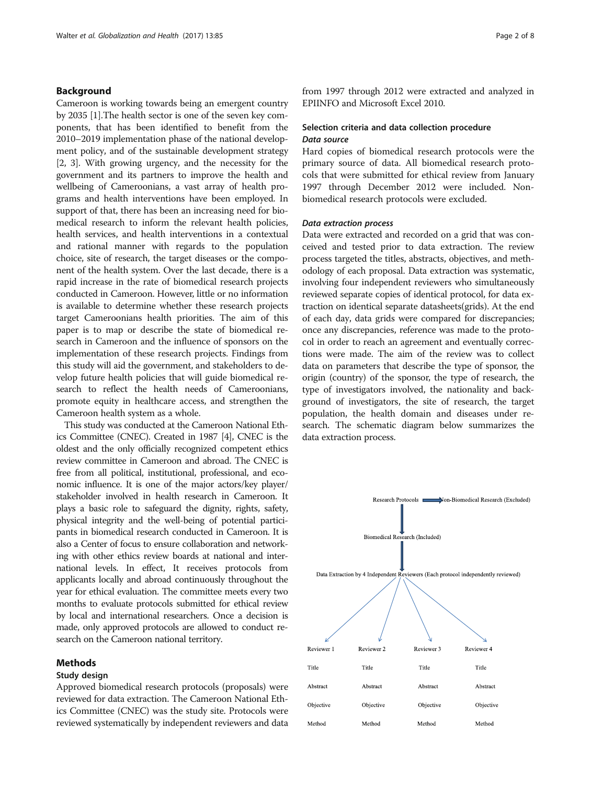# Background

Cameroon is working towards being an emergent country by 2035 [[1\]](#page-6-0).The health sector is one of the seven key components, that has been identified to benefit from the 2010–2019 implementation phase of the national development policy, and of the sustainable development strategy [[2,](#page-6-0) [3\]](#page-7-0). With growing urgency, and the necessity for the government and its partners to improve the health and wellbeing of Cameroonians, a vast array of health programs and health interventions have been employed. In support of that, there has been an increasing need for biomedical research to inform the relevant health policies, health services, and health interventions in a contextual and rational manner with regards to the population choice, site of research, the target diseases or the component of the health system. Over the last decade, there is a rapid increase in the rate of biomedical research projects conducted in Cameroon. However, little or no information is available to determine whether these research projects target Cameroonians health priorities. The aim of this paper is to map or describe the state of biomedical research in Cameroon and the influence of sponsors on the implementation of these research projects. Findings from this study will aid the government, and stakeholders to develop future health policies that will guide biomedical research to reflect the health needs of Cameroonians, promote equity in healthcare access, and strengthen the Cameroon health system as a whole.

This study was conducted at the Cameroon National Ethics Committee (CNEC). Created in 1987 [\[4\]](#page-7-0), CNEC is the oldest and the only officially recognized competent ethics review committee in Cameroon and abroad. The CNEC is free from all political, institutional, professional, and economic influence. It is one of the major actors/key player/ stakeholder involved in health research in Cameroon. It plays a basic role to safeguard the dignity, rights, safety, physical integrity and the well-being of potential participants in biomedical research conducted in Cameroon. It is also a Center of focus to ensure collaboration and networking with other ethics review boards at national and international levels. In effect, It receives protocols from applicants locally and abroad continuously throughout the year for ethical evaluation. The committee meets every two months to evaluate protocols submitted for ethical review by local and international researchers. Once a decision is made, only approved protocols are allowed to conduct research on the Cameroon national territory.

## Methods

# Study design

Approved biomedical research protocols (proposals) were reviewed for data extraction. The Cameroon National Ethics Committee (CNEC) was the study site. Protocols were reviewed systematically by independent reviewers and data from 1997 through 2012 were extracted and analyzed in EPIINFO and Microsoft Excel 2010.

# Selection criteria and data collection procedure Data source

Hard copies of biomedical research protocols were the primary source of data. All biomedical research protocols that were submitted for ethical review from January 1997 through December 2012 were included. Nonbiomedical research protocols were excluded.

Data were extracted and recorded on a grid that was conceived and tested prior to data extraction. The review process targeted the titles, abstracts, objectives, and methodology of each proposal. Data extraction was systematic, involving four independent reviewers who simultaneously reviewed separate copies of identical protocol, for data extraction on identical separate datasheets(grids). At the end of each day, data grids were compared for discrepancies; once any discrepancies, reference was made to the protocol in order to reach an agreement and eventually corrections were made. The aim of the review was to collect data on parameters that describe the type of sponsor, the origin (country) of the sponsor, the type of research, the type of investigators involved, the nationality and background of investigators, the site of research, the target population, the health domain and diseases under research. The schematic diagram below summarizes the data extraction process.

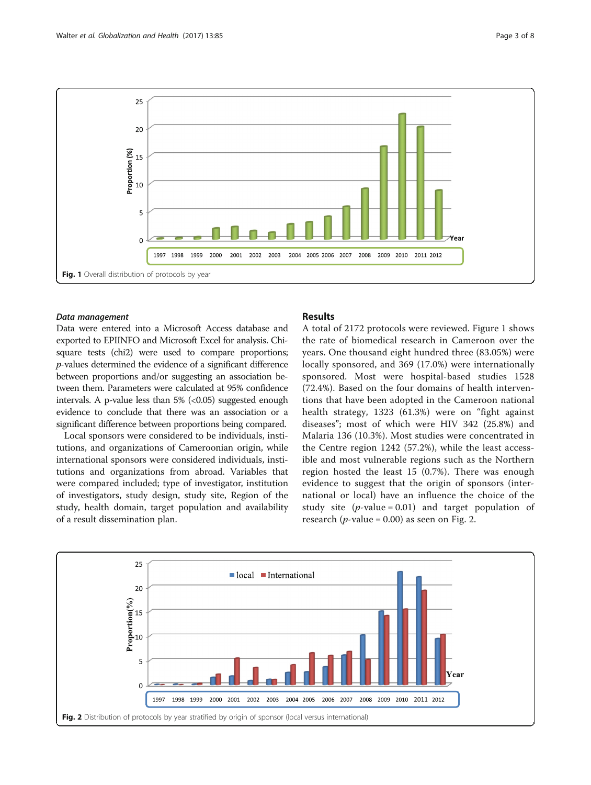

Data were entered into a Microsoft Access database and exported to EPIINFO and Microsoft Excel for analysis. Chisquare tests (chi2) were used to compare proportions; p-values determined the evidence of a significant difference between proportions and/or suggesting an association between them. Parameters were calculated at 95% confidence intervals. A p-value less than 5% (<0.05) suggested enough evidence to conclude that there was an association or a significant difference between proportions being compared.

Local sponsors were considered to be individuals, institutions, and organizations of Cameroonian origin, while international sponsors were considered individuals, institutions and organizations from abroad. Variables that were compared included; type of investigator, institution of investigators, study design, study site, Region of the study, health domain, target population and availability of a result dissemination plan.

# Results

A total of 2172 protocols were reviewed. Figure 1 shows the rate of biomedical research in Cameroon over the years. One thousand eight hundred three (83.05%) were locally sponsored, and 369 (17.0%) were internationally sponsored. Most were hospital-based studies 1528 (72.4%). Based on the four domains of health interventions that have been adopted in the Cameroon national health strategy, 1323 (61.3%) were on "fight against diseases"; most of which were HIV 342 (25.8%) and Malaria 136 (10.3%). Most studies were concentrated in the Centre region 1242 (57.2%), while the least accessible and most vulnerable regions such as the Northern region hosted the least 15 (0.7%). There was enough evidence to suggest that the origin of sponsors (international or local) have an influence the choice of the study site  $(p$ -value = 0.01) and target population of research ( $p$ -value = 0.00) as seen on Fig. 2.

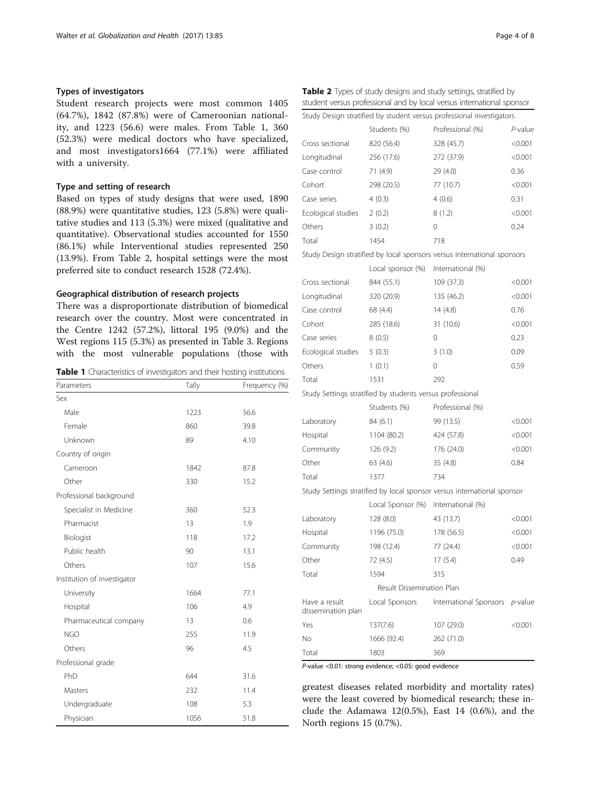# <span id="page-3-0"></span>Types of investigators

Student research projects were most common 1405 (64.7%), 1842 (87.8%) were of Cameroonian nationality, and 1223 (56.6) were males. From Table 1, 360 (52.3%) were medical doctors who have specialized, and most investigators1664 (77.1%) were affiliated with a university.

# Type and setting of research

Based on types of study designs that were used, 1890 (88.9%) were quantitative studies, 123 (5.8%) were qualitative studies and 113 (5.3%) were mixed (qualitative and quantitative). Observational studies accounted for 1550 (86.1%) while Interventional studies represented 250 (13.9%). From Table 2, hospital settings were the most preferred site to conduct research 1528 (72.4%).

# Geographical distribution of research projects

There was a disproportionate distribution of biomedical research over the country. Most were concentrated in the Centre 1242 (57.2%), littoral 195 (9.0%) and the West regions 115 (5.3%) as presented in Table [3.](#page-4-0) Regions with the most vulnerable populations (those with

Table 1 Characteristics of investigators and their hosting institutions

| Parameters                  | Tally | Frequency (%) |
|-----------------------------|-------|---------------|
| Sex                         |       |               |
| Male                        | 1223  | 56.6          |
| Female                      | 860   | 39.8          |
| Unknown                     | 89    | 4.10          |
| Country of origin           |       |               |
| Cameroon                    | 1842  | 87.8          |
| Other                       | 330   | 15.2          |
| Professional background     |       |               |
| Specialist in Medicine      | 360   | 52.3          |
| Pharmacist                  | 13    | 1.9           |
| Biologist                   | 118   | 17.2          |
| Public health               | 90    | 13.1          |
| Others                      | 107   | 15.6          |
| Institution of investigator |       |               |
| University                  | 1664  | 77.1          |
| Hospital                    | 106   | 4.9           |
| Pharmaceutical company      | 13    | 0.6           |
| <b>NGO</b>                  | 255   | 11.9          |
| Others                      | 96    | 4.5           |
| Professional grade          |       |               |
| PhD                         | 644   | 31.6          |
| Masters                     | 232   | 11.4          |
| Undergraduate               | 108   | 5.3           |
| Physician                   | 1056  | 51.8          |

| Table 2 Types of study designs and study settings, stratified by      |
|-----------------------------------------------------------------------|
| student versus professional and by local versus international sponsor |

| Study Design stratified by student versus professional investigators |              |                  |         |
|----------------------------------------------------------------------|--------------|------------------|---------|
|                                                                      | Students (%) | Professional (%) | P-value |
| Cross sectional                                                      | 820 (56.4)   | 328 (45.7)       | < 0.001 |
| Longitudinal                                                         | 256 (17.6)   | 272 (37.9)       | < 0.001 |
| Case control                                                         | 71(4.9)      | 29(4.0)          | 0.36    |
| Cohort                                                               | 298 (20.5)   | 77 (10.7)        | < 0.001 |
| Case series                                                          | 4(0.3)       | 4(0.6)           | 0.31    |
| Ecological studies                                                   | 2(0.2)       | 8(1.2)           | < 0.001 |
| Others                                                               | 3(0.2)       | 0                | 0.24    |
| Total                                                                | 1454         | 718              |         |
|                                                                      |              |                  |         |

Study Design stratified by local sponsors versus international sponsors

|                                     | Local sponsor (%)                                         | International (%)                                                       |         |
|-------------------------------------|-----------------------------------------------------------|-------------------------------------------------------------------------|---------|
| Cross sectional                     | 844 (55.1)                                                | 109 (37.3)                                                              | < 0.001 |
| Longitudinal                        | 320 (20.9)                                                | 135 (46.2)                                                              | < 0.001 |
| Case control                        | 68 (4.4)                                                  | 14(4.8)                                                                 | 0.76    |
| Cohort                              | 285 (18.6)                                                | 31 (10.6)                                                               | < 0.001 |
| Case series                         | 8(0.5)                                                    | 0                                                                       | 0.23    |
| Ecological studies                  | 5(0.3)                                                    | 3(1.0)                                                                  | 0.09    |
| Others                              | 1(0.1)                                                    | 0                                                                       | 0.59    |
| Total                               | 1531                                                      | 292                                                                     |         |
|                                     | Study Settings stratified by students versus professional |                                                                         |         |
|                                     | Students (%)                                              | Professional (%)                                                        |         |
| Laboratory                          | 84 (6.1)                                                  | 99 (13.5)                                                               | < 0.001 |
| Hospital                            | 1104 (80.2)                                               | 424 (57.8)                                                              | < 0.001 |
| Community                           | 126 (9.2)                                                 | 176 (24.0)                                                              | < 0.001 |
| Other                               | 63 (4.6)                                                  | 35 (4.8)                                                                | 0.84    |
| Total                               | 1377                                                      | 734                                                                     |         |
|                                     |                                                           | Study Settings stratified by local sponsor versus international sponsor |         |
|                                     | Local Sponsor (%) International (%)                       |                                                                         |         |
| Laboratory                          | 128 (8.0)                                                 | 43 (13.7)                                                               | < 0.001 |
| Hospital                            | 1196 (75.0)                                               | 178 (56.5)                                                              | < 0.001 |
| Community                           | 198 (12.4)                                                | 77 (24.4)                                                               | < 0.001 |
| Other                               | 72 (4.5)                                                  | 17(5.4)                                                                 | 0.49    |
| Total                               | 1594                                                      | 315                                                                     |         |
|                                     | Result Dissemination Plan                                 |                                                                         |         |
| Have a result<br>dissemination plan | Local Sponsors                                            | International Sponsors p-value                                          |         |
| Yes                                 | 137(7.6)                                                  | 107 (29.0)                                                              | < 0.001 |
| No                                  | 1666 (92.4)                                               | 262 (71.0)                                                              |         |
| Total                               | 1803                                                      | 369                                                                     |         |
|                                     |                                                           |                                                                         |         |

P-value <0.01: strong evidence; <0.05: good evidence

greatest diseases related morbidity and mortality rates) were the least covered by biomedical research; these include the Adamawa  $12(0.5\%)$ , East 14  $(0.6\%)$ , and the North regions 15 (0.7%).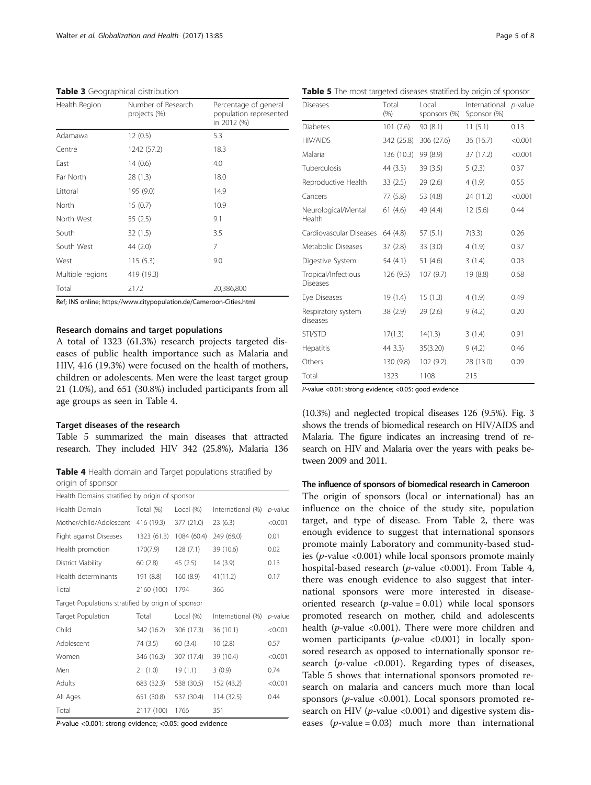<span id="page-4-0"></span>Table 3 Geographical distribution

| Health Region    | Number of Research<br>projects (%) | Percentage of general<br>population represented<br>in 2012 (%) |
|------------------|------------------------------------|----------------------------------------------------------------|
| Adamawa          | 12(0.5)                            | 5.3                                                            |
| Centre           | 1242 (57.2)                        | 18.3                                                           |
| East             | 14(0.6)                            | 4.0                                                            |
| Far North        | 28 (1.3)                           | 18.0                                                           |
| Littoral         | 195 (9.0)                          | 14.9                                                           |
| North            | 15(0.7)                            | 10.9                                                           |
| North West       | 55 (2.5)                           | 9.1                                                            |
| South            | 32(1.5)                            | 3.5                                                            |
| South West       | 44 (2.0)                           | 7                                                              |
| West             | 115(5.3)                           | 9.0                                                            |
| Multiple regions | 419 (19.3)                         |                                                                |
| Total            | 2172                               | 20,386,800                                                     |

Ref; INS online; <https://www.citypopulation.de/Cameroon-Cities.html>

# Research domains and target populations

A total of 1323 (61.3%) research projects targeted diseases of public health importance such as Malaria and HIV, 416 (19.3%) were focused on the health of mothers, children or adolescents. Men were the least target group 21 (1.0%), and 651 (30.8%) included participants from all age groups as seen in Table 4.

#### Target diseases of the research

Table 5 summarized the main diseases that attracted research. They included HIV 342 (25.8%), Malaria 136

Table 4 Health domain and Target populations stratified by origin of sponsor

| Health Domains stratified by origin of sponsor     |             |              |                   |                 |  |
|----------------------------------------------------|-------------|--------------|-------------------|-----------------|--|
| Health Domain                                      | Total (%)   | Local $(\%)$ | International (%) | <i>p</i> -value |  |
| Mother/child/Adolescent                            | 416 (19.3)  | 377 (21.0)   | 23(6.3)           | < 0.001         |  |
| Fight against Diseases                             | 1323 (61.3) | 1084 (60.4)  | 249 (68.0)        | 0.01            |  |
| Health promotion                                   | 170(7.9)    | 128(7.1)     | 39 (10.6)         | 0.02            |  |
| District Viability                                 | 60(2.8)     | 45 (2.5)     | 14(3.9)           | 0.13            |  |
| Health determinants                                | 191 (8.8)   | 160(8.9)     | 41(11.2)          | 0.17            |  |
| Total                                              | 2160 (100)  | 1794         | 366               |                 |  |
| Target Populations stratified by origin of sponsor |             |              |                   |                 |  |
| <b>Target Population</b>                           | Total       | Local (%)    | International (%) | p-value         |  |
| Child                                              | 342 (16.2)  | 306 (17.3)   | 36 (10.1)         | < 0.001         |  |
| Adolescent                                         | 74 (3.5)    | 60(3.4)      | 10(2.8)           | 0.57            |  |
| Women                                              | 346 (16.3)  | 307 (17.4)   | 39 (10.4)         | < 0.001         |  |
| Men                                                | 21(1.0)     | 19(1.1)      | 3(0.9)            | 0.74            |  |
| Adults                                             | 683 (32.3)  | 538 (30.5)   | 152 (43.2)        | < 0.001         |  |
| All Ages                                           | 651 (30.8)  | 537 (30.4)   | 114 (32.5)        | 0.44            |  |
| Total                                              | 2117 (100)  | 1766         | 351               |                 |  |

P-value <0.001: strong evidence; <0.05: good evidence

Table 5 The most targeted diseases stratified by origin of sponsor

| Diseases                               | Total<br>$(\% )$ | Local<br>sponsors (%) | International p-value<br>Sponsor (%) |         |
|----------------------------------------|------------------|-----------------------|--------------------------------------|---------|
| Diabetes                               | 101(7.6)         | 90(8.1)               | 11(5.1)                              | 0.13    |
| <b>HIV/AIDS</b>                        | 342 (25.8)       | 306 (27.6)            | 36 (16.7)                            | < 0.001 |
| Malaria                                | 136 (10.3)       | 99 (8.9)              | 37 (17.2)                            | < 0.001 |
| Tuberculosis                           | 44(3.3)          | 39(3.5)               | 5(2.3)                               | 0.37    |
| Reproductive Health                    | 33(2.5)          | 29(2.6)               | 4(1.9)                               | 0.55    |
| Cancers                                | 77 (5.8)         | 53 (4.8)              | 24 (11.2)                            | < 0.001 |
| Neurological/Mental<br>Health          | 61(4.6)          | 49 (4.4)              | 12(5.6)                              | 0.44    |
| Cardiovascular Diseases                | 64 (4.8)         | 57(5.1)               | 7(3.3)                               | 0.26    |
| Metabolic Diseases                     | 37(2.8)          | 33(3.0)               | 4(1.9)                               | 0.37    |
| Digestive System                       | 54 (4.1)         | 51(4.6)               | 3(1.4)                               | 0.03    |
| Tropical/Infectious<br><b>Diseases</b> | 126(9.5)         | 107(9.7)              | 19 (8.8)                             | 0.68    |
| Eye Diseases                           | 19(1.4)          | 15(1.3)               | 4(1.9)                               | 0.49    |
| Respiratory system<br>diseases         | 38(2.9)          | 29(2.6)               | 9(4.2)                               | 0.20    |
| STI/STD                                | 17(1.3)          | 14(1.3)               | 3(1.4)                               | 0.91    |
| Hepatitis                              | 44 3.3)          | 35(3.20)              | 9(4.2)                               | 0.46    |
| Others                                 | 130 (9.8)        | 102 (9.2)             | 28 (13.0)                            | 0.09    |
| Total                                  | 1323             | 1108                  | 215                                  |         |

P-value <0.01: strong evidence; <0.05: good evidence

(10.3%) and neglected tropical diseases 126 (9.5%). Fig. [3](#page-5-0) shows the trends of biomedical research on HIV/AIDS and Malaria. The figure indicates an increasing trend of research on HIV and Malaria over the years with peaks between 2009 and 2011.

## The influence of sponsors of biomedical research in Cameroon

The origin of sponsors (local or international) has an influence on the choice of the study site, population target, and type of disease. From Table [2](#page-3-0), there was enough evidence to suggest that international sponsors promote mainly Laboratory and community-based studies ( $p$ -value <0.001) while local sponsors promote mainly hospital-based research (p-value <0.001). From Table 4, there was enough evidence to also suggest that international sponsors were more interested in diseaseoriented research  $(p$ -value = 0.01) while local sponsors promoted research on mother, child and adolescents health ( $p$ -value <0.001). There were more children and women participants ( $p$ -value <0.001) in locally sponsored research as opposed to internationally sponsor research ( $p$ -value <0.001). Regarding types of diseases, Table 5 shows that international sponsors promoted research on malaria and cancers much more than local sponsors ( $p$ -value <0.001). Local sponsors promoted research on HIV ( $p$ -value <0.001) and digestive system diseases  $(p$ -value = 0.03) much more than international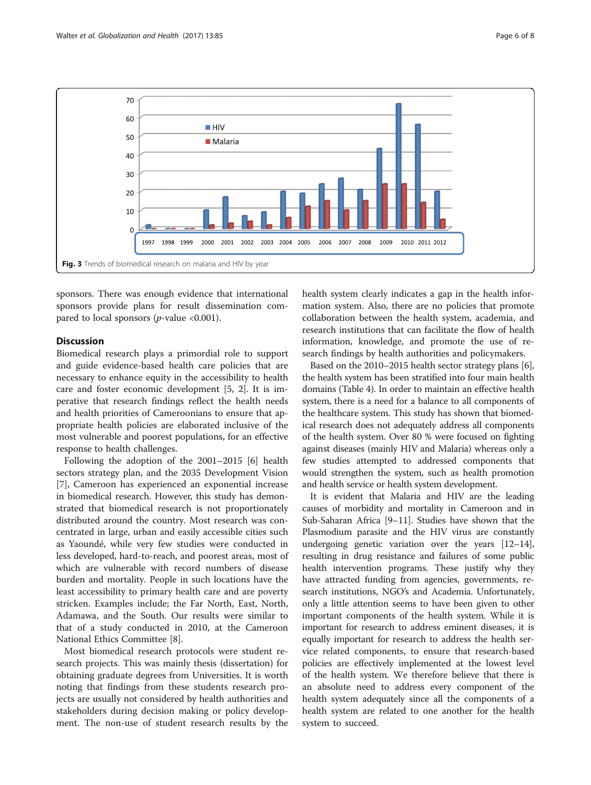<span id="page-5-0"></span>

sponsors. There was enough evidence that international sponsors provide plans for result dissemination compared to local sponsors ( $p$ -value <0.001).

# **Discussion**

Biomedical research plays a primordial role to support and guide evidence-based health care policies that are necessary to enhance equity in the accessibility to health care and foster economic development [[5,](#page-7-0) [2](#page-6-0)]. It is imperative that research findings reflect the health needs and health priorities of Cameroonians to ensure that appropriate health policies are elaborated inclusive of the most vulnerable and poorest populations, for an effective response to health challenges.

Following the adoption of the 2001–2015 [\[6](#page-7-0)] health sectors strategy plan, and the 2035 Development Vision [[7\]](#page-7-0), Cameroon has experienced an exponential increase in biomedical research. However, this study has demonstrated that biomedical research is not proportionately distributed around the country. Most research was concentrated in large, urban and easily accessible cities such as Yaoundé, while very few studies were conducted in less developed, hard-to-reach, and poorest areas, most of which are vulnerable with record numbers of disease burden and mortality. People in such locations have the least accessibility to primary health care and are poverty stricken. Examples include; the Far North, East, North, Adamawa, and the South. Our results were similar to that of a study conducted in 2010, at the Cameroon National Ethics Committee [\[8](#page-7-0)].

Most biomedical research protocols were student research projects. This was mainly thesis (dissertation) for obtaining graduate degrees from Universities. It is worth noting that findings from these students research projects are usually not considered by health authorities and stakeholders during decision making or policy development. The non-use of student research results by the health system clearly indicates a gap in the health information system. Also, there are no policies that promote collaboration between the health system, academia, and research institutions that can facilitate the flow of health information, knowledge, and promote the use of research findings by health authorities and policymakers.

Based on the 2010–2015 health sector strategy plans [[6](#page-7-0)], the health system has been stratified into four main health domains (Table [4\)](#page-4-0). In order to maintain an effective health system, there is a need for a balance to all components of the healthcare system. This study has shown that biomedical research does not adequately address all components of the health system. Over 80 % were focused on fighting against diseases (mainly HIV and Malaria) whereas only a few studies attempted to addressed components that would strengthen the system, such as health promotion and health service or health system development.

It is evident that Malaria and HIV are the leading causes of morbidity and mortality in Cameroon and in Sub-Saharan Africa [[9](#page-7-0)–[11](#page-7-0)]. Studies have shown that the Plasmodium parasite and the HIV virus are constantly undergoing genetic variation over the years [\[12](#page-7-0)–[14](#page-7-0)], resulting in drug resistance and failures of some public health intervention programs. These justify why they have attracted funding from agencies, governments, research institutions, NGO's and Academia. Unfortunately, only a little attention seems to have been given to other important components of the health system. While it is important for research to address eminent diseases, it is equally important for research to address the health service related components, to ensure that research-based policies are effectively implemented at the lowest level of the health system. We therefore believe that there is an absolute need to address every component of the health system adequately since all the components of a health system are related to one another for the health system to succeed.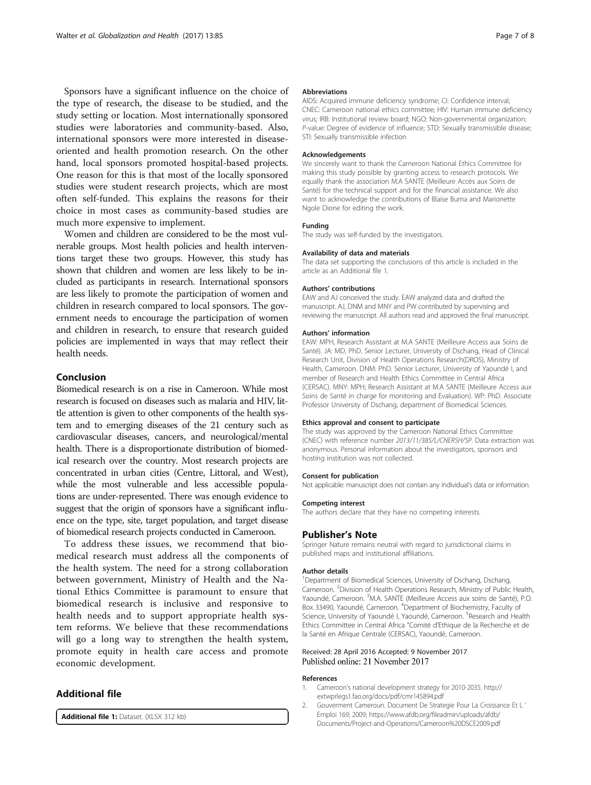<span id="page-6-0"></span>Sponsors have a significant influence on the choice of the type of research, the disease to be studied, and the study setting or location. Most internationally sponsored studies were laboratories and community-based. Also, international sponsors were more interested in diseaseoriented and health promotion research. On the other hand, local sponsors promoted hospital-based projects. One reason for this is that most of the locally sponsored studies were student research projects, which are most often self-funded. This explains the reasons for their choice in most cases as community-based studies are much more expensive to implement.

Women and children are considered to be the most vulnerable groups. Most health policies and health interventions target these two groups. However, this study has shown that children and women are less likely to be included as participants in research. International sponsors are less likely to promote the participation of women and children in research compared to local sponsors. The government needs to encourage the participation of women and children in research, to ensure that research guided policies are implemented in ways that may reflect their health needs.

# Conclusion

Biomedical research is on a rise in Cameroon. While most research is focused on diseases such as malaria and HIV, little attention is given to other components of the health system and to emerging diseases of the 21 century such as cardiovascular diseases, cancers, and neurological/mental health. There is a disproportionate distribution of biomedical research over the country. Most research projects are concentrated in urban cities (Centre, Littoral, and West), while the most vulnerable and less accessible populations are under-represented. There was enough evidence to suggest that the origin of sponsors have a significant influence on the type, site, target population, and target disease of biomedical research projects conducted in Cameroon.

To address these issues, we recommend that biomedical research must address all the components of the health system. The need for a strong collaboration between government, Ministry of Health and the National Ethics Committee is paramount to ensure that biomedical research is inclusive and responsive to health needs and to support appropriate health system reforms. We believe that these recommendations will go a long way to strengthen the health system, promote equity in health care access and promote economic development.

# Additional file

[Additional file 1:](dx.doi.org/10.1186/s12992-017-0312-y) Dataset. (XLSX 312 kb)

#### Abbreviations

AIDS: Acquired immune deficiency syndrome; CI: Confidence interval; CNEC: Cameroon national ethics committee; HIV: Human immune deficiency virus; IRB: Institutional review board; NGO: Non-governmental organization; P-value: Degree of evidence of influence; STD: Sexually transmissible disease; STI: Sexually transmissible infection

#### Acknowledgements

We sincerely want to thank the Cameroon National Ethics Committee for making this study possible by granting access to research protocols. We equally thank the association M.A SANTE (Meilleure Accès aux Soins de Santé) for the technical support and for the financial assistance. We also want to acknowledge the contributions of Blaise Buma and [Marionette](https://www.researchgate.net/profile/Marionette_Ngole_Dione) [Ngole Dione](https://www.researchgate.net/profile/Marionette_Ngole_Dione) for editing the work.

#### Funding

The study was self-funded by the investigators.

#### Availability of data and materials

The data set supporting the conclusions of this article is included in the article as an Additional file 1.

#### Authors' contributions

EAW and AJ conceived the study. EAW analyzed data and drafted the manuscript. AJ, DNM and MNY and PW contributed by supervising and reviewing the manuscript. All authors read and approved the final manuscript.

#### Authors' information

EAW: MPH, Research Assistant at M.A SANTE (Meilleure Access aux Soins de Santé). JA: MD, PhD. Senior Lecturer, University of Dschang, Head of Clinical Research Unit, Division of Health Operations Research(DROS), Ministry of Health, Cameroon. DNM: PhD. Senior Lecturer, University of Yaoundé I, and member of Research and Health Ethics Committee in Central Africa (CERSAC). MNY: MPH; Research Assistant at M.A SANTE (Meilleure Access aux Soins de Santé in charge for monitoring and Evaluation). WP: PhD. Associate Professor University of Dschang, department of Biomedical Sciences.

#### Ethics approval and consent to participate

The study was approved by the Cameroon National Ethics Committee (CNEC) with reference number 2013/11/385/L/CNERSH/SP. Data extraction was anonymous. Personal information about the investigators, sponsors and hosting institution was not collected.

#### Consent for publication

Not applicable: manuscript does not contain any individual's data or information.

#### Competing interest

The authors declare that they have no competing interests.

## Publisher's Note

Springer Nature remains neutral with regard to jurisdictional claims in published maps and institutional affiliations.

#### Author details

<sup>1</sup>Department of Biomedical Sciences, University of Dschang, Dschang, Cameroon. <sup>2</sup> Division of Health Operations Research, Ministry of Public Health, Yaoundé, Cameroon. <sup>3</sup>M.A. SANTE (Meilleure Access aux soins de Santé), P.O. Box 33490, Yaoundé, Cameroon. <sup>4</sup>Department of Biochemistry, Faculty of Science, University of Yaoundé I, Yaoundé, Cameroon. <sup>5</sup>Research and Health Ethics Committee in Central Africa "Comité d'Ethique de la Recherche et de la Santé en Afrique Centrale (CERSAC), Yaoundé, Cameroon.

# Received: 28 April 2016 Accepted: 9 November 2017 Published online: 21 November 2017

#### References

- 1. Cameroon's national development strategy for 2010-2035. [http://](http://extwprlegs1.fao.org/docs/pdf/cmr145894.pdf) [extwprlegs1.fao.org/docs/pdf/cmr145894.pdf](http://extwprlegs1.fao.org/docs/pdf/cmr145894.pdf)
- 2. Gouverment Cameroun. Document De Strategie Pour La Croissance Et L ' Emploi 169; 2009; [https://www.afdb.org/fileadmin/uploads/afdb/](https://www.afdb.org/fileadmin/uploads/afdb/Documents/Project-and-Operations/Cameroon%20DSCE2009.pdf) [Documents/Project-and-Operations/Cameroon%20DSCE2009.pdf](https://www.afdb.org/fileadmin/uploads/afdb/Documents/Project-and-Operations/Cameroon%20DSCE2009.pdf)